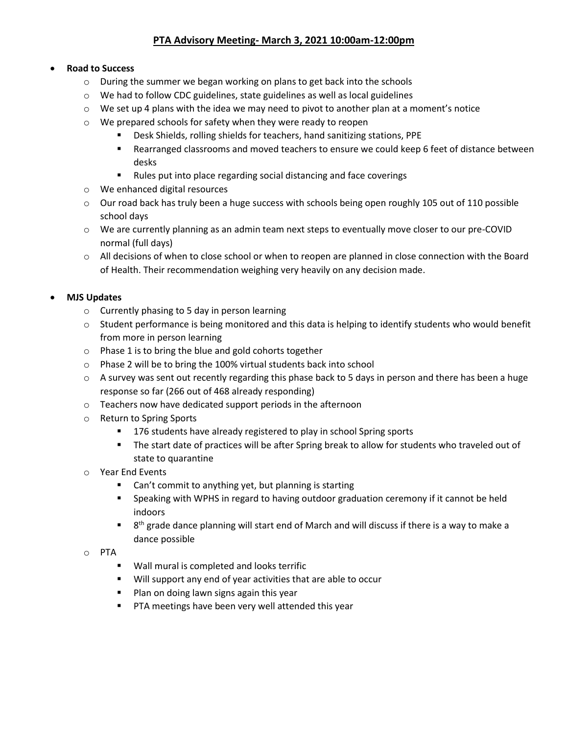# **PTA Advisory Meeting- March 3, 2021 10:00am-12:00pm**

## • **Road to Success**

- o During the summer we began working on plans to get back into the schools
- o We had to follow CDC guidelines, state guidelines as well as local guidelines
- $\circ$  We set up 4 plans with the idea we may need to pivot to another plan at a moment's notice
- o We prepared schools for safety when they were ready to reopen
	- Desk Shields, rolling shields for teachers, hand sanitizing stations, PPE
	- Rearranged classrooms and moved teachers to ensure we could keep 6 feet of distance between desks
	- Rules put into place regarding social distancing and face coverings
- o We enhanced digital resources
- $\circ$  Our road back has truly been a huge success with schools being open roughly 105 out of 110 possible school days
- o We are currently planning as an admin team next steps to eventually move closer to our pre-COVID normal (full days)
- o All decisions of when to close school or when to reopen are planned in close connection with the Board of Health. Their recommendation weighing very heavily on any decision made.

## • **MJS Updates**

- o Currently phasing to 5 day in person learning
- o Student performance is being monitored and this data is helping to identify students who would benefit from more in person learning
- o Phase 1 is to bring the blue and gold cohorts together
- o Phase 2 will be to bring the 100% virtual students back into school
- $\circ$  A survey was sent out recently regarding this phase back to 5 days in person and there has been a huge response so far (266 out of 468 already responding)
- o Teachers now have dedicated support periods in the afternoon
- o Return to Spring Sports
	- 176 students have already registered to play in school Spring sports
	- The start date of practices will be after Spring break to allow for students who traveled out of state to quarantine
- o Year End Events
	- Can't commit to anything yet, but planning is starting
	- **EXED** Speaking with WPHS in regard to having outdoor graduation ceremony if it cannot be held indoors
	- $\blacksquare$  8<sup>th</sup> grade dance planning will start end of March and will discuss if there is a way to make a dance possible
- o PTA
	- Wall mural is completed and looks terrific
	- Will support any end of year activities that are able to occur
	- Plan on doing lawn signs again this year
	- PTA meetings have been very well attended this year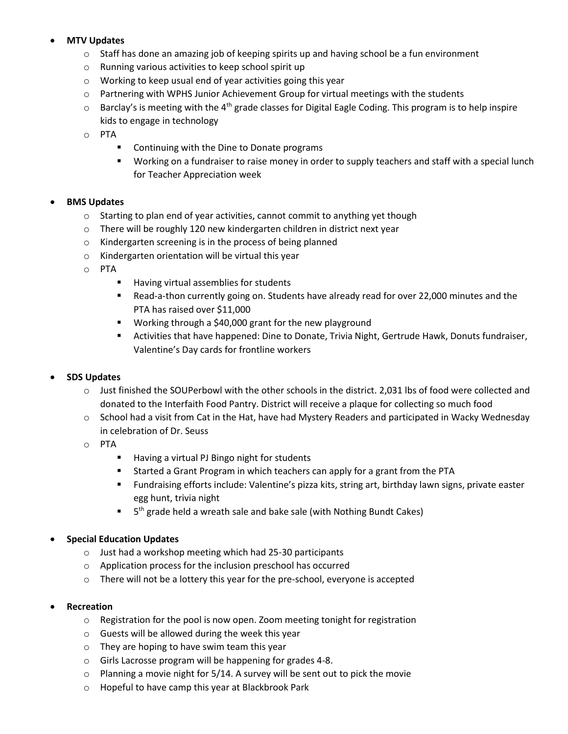## • **MTV Updates**

- $\circ$  Staff has done an amazing job of keeping spirits up and having school be a fun environment
- o Running various activities to keep school spirit up
- o Working to keep usual end of year activities going this year
- $\circ$  Partnering with WPHS Junior Achievement Group for virtual meetings with the students
- $\circ$  Barclay's is meeting with the 4<sup>th</sup> grade classes for Digital Eagle Coding. This program is to help inspire kids to engage in technology
- o PTA
	- Continuing with the Dine to Donate programs
	- Working on a fundraiser to raise money in order to supply teachers and staff with a special lunch for Teacher Appreciation week

#### • **BMS Updates**

- $\circ$  Starting to plan end of year activities, cannot commit to anything yet though
- o There will be roughly 120 new kindergarten children in district next year
- o Kindergarten screening is in the process of being planned
- o Kindergarten orientation will be virtual this year
- o PTA
	- Having virtual assemblies for students
	- Read-a-thon currently going on. Students have already read for over 22,000 minutes and the PTA has raised over \$11,000
	- Working through a \$40,000 grant for the new playground
	- Activities that have happened: Dine to Donate, Trivia Night, Gertrude Hawk, Donuts fundraiser, Valentine's Day cards for frontline workers

#### • **SDS Updates**

- o Just finished the SOUPerbowl with the other schools in the district. 2,031 lbs of food were collected and donated to the Interfaith Food Pantry. District will receive a plaque for collecting so much food
- $\circ$  School had a visit from Cat in the Hat, have had Mystery Readers and participated in Wacky Wednesday in celebration of Dr. Seuss
- o PTA
	- Having a virtual PJ Bingo night for students
	- **EXECT** Started a Grant Program in which teachers can apply for a grant from the PTA
	- Fundraising efforts include: Valentine's pizza kits, string art, birthday lawn signs, private easter egg hunt, trivia night
	- 5<sup>th</sup> grade held a wreath sale and bake sale (with Nothing Bundt Cakes)

#### • **Special Education Updates**

- o Just had a workshop meeting which had 25-30 participants
- o Application process for the inclusion preschool has occurred
- o There will not be a lottery this year for the pre-school, everyone is accepted

#### • **Recreation**

- o Registration for the pool is now open. Zoom meeting tonight for registration
- o Guests will be allowed during the week this year
- o They are hoping to have swim team this year
- o Girls Lacrosse program will be happening for grades 4-8.
- $\circ$  Planning a movie night for 5/14. A survey will be sent out to pick the movie
- o Hopeful to have camp this year at Blackbrook Park